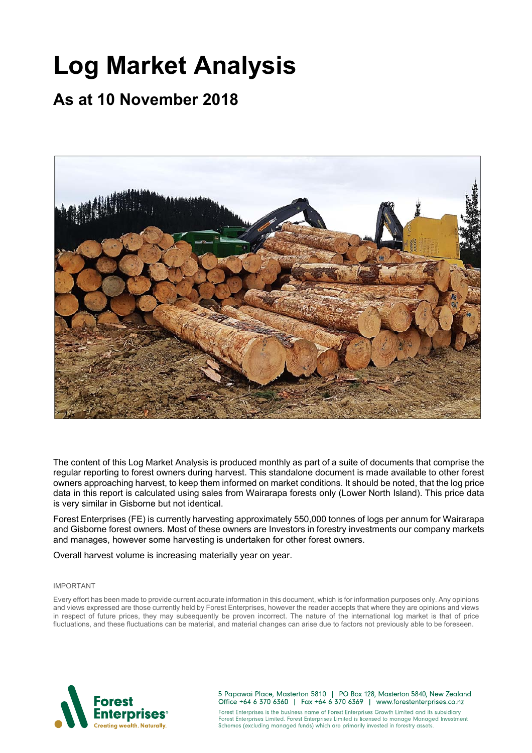# **Log Market Analysis**

## **As at 10 November 2018**



The content of this Log Market Analysis is produced monthly as part of a suite of documents that comprise the regular reporting to forest owners during harvest. This standalone document is made available to other forest owners approaching harvest, to keep them informed on market conditions. It should be noted, that the log price data in this report is calculated using sales from Wairarapa forests only (Lower North Island). This price data is very similar in Gisborne but not identical.

Forest Enterprises (FE) is currently harvesting approximately 550,000 tonnes of logs per annum for Wairarapa and Gisborne forest owners. Most of these owners are Investors in forestry investments our company markets and manages, however some harvesting is undertaken for other forest owners.

Overall harvest volume is increasing materially year on year.

#### IMPORTANT

Every effort has been made to provide current accurate information in this document, which is for information purposes only. Any opinions and views expressed are those currently held by Forest Enterprises, however the reader accepts that where they are opinions and views in respect of future prices, they may subsequently be proven incorrect. The nature of the international log market is that of price fluctuations, and these fluctuations can be material, and material changes can arise due to factors not previously able to be foreseen.



5 Papawai Place, Masterton 5810 | PO Box 128, Masterton 5840, New Zealand Office +64 6 370 6360 | Fax +64 6 370 6369 | www.forestenterprises.co.nz

Forest Enterprises is the business name of Forest Enterprises Growth Limited and its subsidiary Forest Enterprises Limited. Forest Enterprises Limited is licensed to manage Managed Investment Schemes (excluding managed funds) which are primarily invested in forestry assets.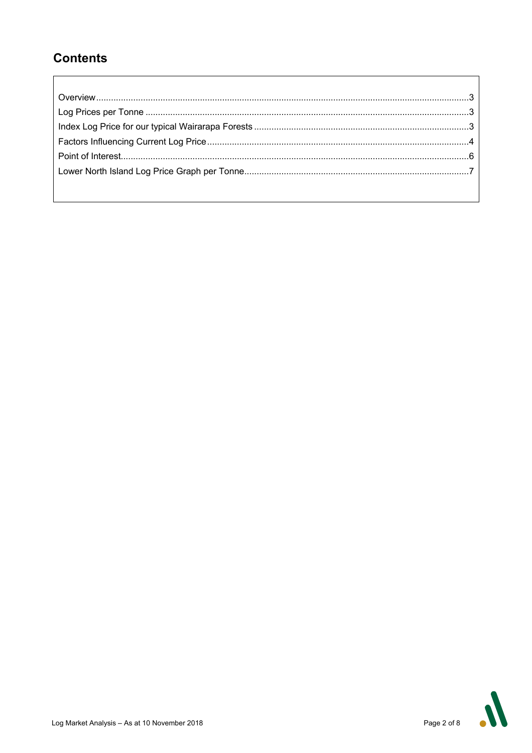### **Contents**



 $\overline{\mathsf{I}}$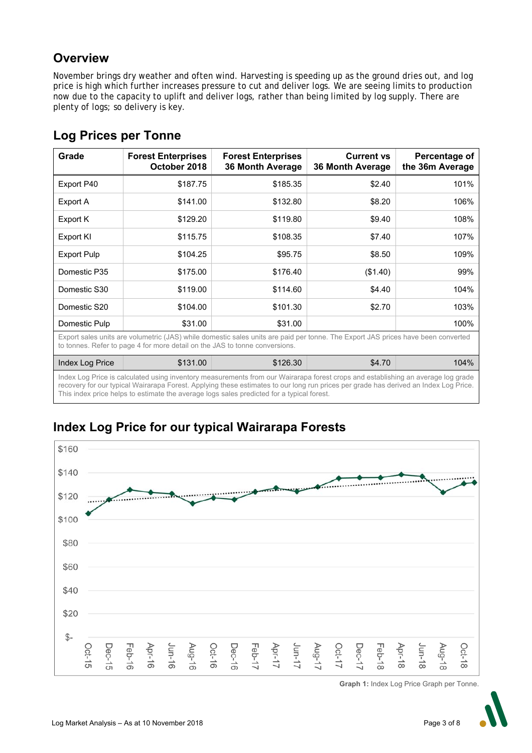### **Overview**

November brings dry weather and often wind. Harvesting is speeding up as the ground dries out, and log price is high which further increases pressure to cut and deliver logs. We are seeing limits to production now due to the capacity to uplift and deliver logs, rather than being limited by log supply. There are plenty of logs; so delivery is key.

| Grade                                                                                                                                                                                                                                                                                                                                                                 | <b>Forest Enterprises</b><br>October 2018 | <b>Forest Enterprises</b><br><b>36 Month Average</b> | <b>Current vs</b><br><b>36 Month Average</b> | Percentage of<br>the 36m Average |  |
|-----------------------------------------------------------------------------------------------------------------------------------------------------------------------------------------------------------------------------------------------------------------------------------------------------------------------------------------------------------------------|-------------------------------------------|------------------------------------------------------|----------------------------------------------|----------------------------------|--|
| Export P40                                                                                                                                                                                                                                                                                                                                                            | \$187.75                                  | \$185.35                                             | \$2.40                                       | 101%                             |  |
| Export A                                                                                                                                                                                                                                                                                                                                                              | \$141.00                                  | \$132.80                                             | \$8.20                                       | 106%                             |  |
| Export K                                                                                                                                                                                                                                                                                                                                                              | \$129.20                                  | \$119.80                                             | \$9.40                                       | 108%                             |  |
| Export KI                                                                                                                                                                                                                                                                                                                                                             | \$115.75                                  | \$108.35                                             | \$7.40                                       | 107%                             |  |
| <b>Export Pulp</b>                                                                                                                                                                                                                                                                                                                                                    | \$104.25                                  | \$95.75                                              | \$8.50                                       | 109%                             |  |
| Domestic P35                                                                                                                                                                                                                                                                                                                                                          | \$175.00                                  | \$176.40                                             | (\$1.40)                                     | 99%                              |  |
| Domestic S30                                                                                                                                                                                                                                                                                                                                                          | \$119.00                                  | \$114.60                                             | \$4.40                                       | 104%                             |  |
| Domestic S20                                                                                                                                                                                                                                                                                                                                                          | \$104.00                                  | \$101.30                                             | \$2.70                                       | 103%                             |  |
| Domestic Pulp                                                                                                                                                                                                                                                                                                                                                         | \$31.00                                   | \$31.00                                              |                                              | 100%                             |  |
| Export sales units are volumetric (JAS) while domestic sales units are paid per tonne. The Export JAS prices have been converted<br>to tonnes. Refer to page 4 for more detail on the JAS to tonne conversions.                                                                                                                                                       |                                           |                                                      |                                              |                                  |  |
| Index Log Price                                                                                                                                                                                                                                                                                                                                                       | \$131.00                                  | \$126.30                                             | \$4.70                                       | 104%                             |  |
| Index Log Price is calculated using inventory measurements from our Wairarapa forest crops and establishing an average log grade<br>recovery for our typical Wairarapa Forest. Applying these estimates to our long run prices per grade has derived an Index Log Price.<br>This index price helps to estimate the average logs sales predicted for a typical forest. |                                           |                                                      |                                              |                                  |  |

### **Log Prices per Tonne**



**Index Log Price for our typical Wairarapa Forests** 

**Graph 1:** Index Log Price Graph per Tonne.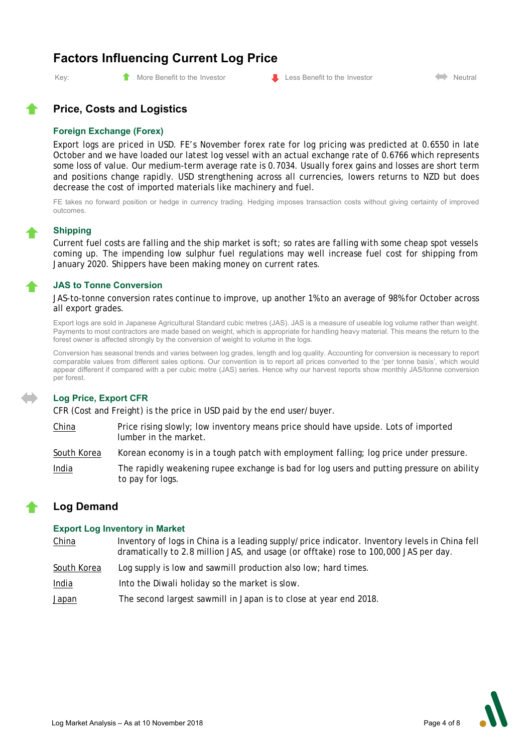### **Factors Influencing Current Log Price**



#### **Price, Costs and Logistics**

#### **Foreign Exchange (Forex)**

Export logs are priced in USD. FE's November forex rate for log pricing was predicted at 0.6550 in late October and we have loaded our latest log vessel with an actual exchange rate of 0.6766 which represents some loss of value. Our medium-term average rate is 0.7034. Usually forex gains and losses are short term and positions change rapidly. USD strengthening across all currencies, lowers returns to NZD but does decrease the cost of imported materials like machinery and fuel.

FE takes no forward position or hedge in currency trading. Hedging imposes transaction costs without giving certainty of improved outcomes.

#### **Shipping**

Current fuel costs are falling and the ship market is soft; so rates are falling with some cheap spot vessels coming up. The impending low sulphur fuel regulations may well increase fuel cost for shipping from January 2020. Shippers have been making money on current rates.

#### **JAS to Tonne Conversion**

JAS-to-tonne conversion rates continue to improve, up another 1% to an average of 98% for October across all export grades.

Export logs are sold in Japanese Agricultural Standard cubic metres (JAS). JAS is a measure of useable log volume rather than weight. Payments to most contractors are made based on weight, which is appropriate for handling heavy material. This means the return to the forest owner is affected strongly by the conversion of weight to volume in the logs.

Conversion has seasonal trends and varies between log grades, length and log quality. Accounting for conversion is necessary to report comparable values from different sales options. Our convention is to report all prices converted to the 'per tonne basis', which would appear different if compared with a per cubic metre (JAS) series. Hence why our harvest reports show monthly JAS/tonne conversion per forest.

#### **Log Price, Export CFR**

CFR (Cost and Freight) is the price in USD paid by the end user/buyer.

China Price rising slowly; low inventory means price should have upside. Lots of imported lumber in the market.

South Korea Korean economy is in a tough patch with employment falling; log price under pressure.

India The rapidly weakening rupee exchange is bad for log users and putting pressure on ability to pay for logs.

### **Log Demand**

#### **Export Log Inventory in Market**

China Inventory of logs in China is a leading supply/price indicator. Inventory levels in China fell dramatically to 2.8 million JAS, and usage (or offtake) rose to 100,000 JAS per day.

- South Korea Log supply is low and sawmill production also low; hard times.
- India Into the Diwali holiday so the market is slow.
- Japan The second largest sawmill in Japan is to close at year end 2018.

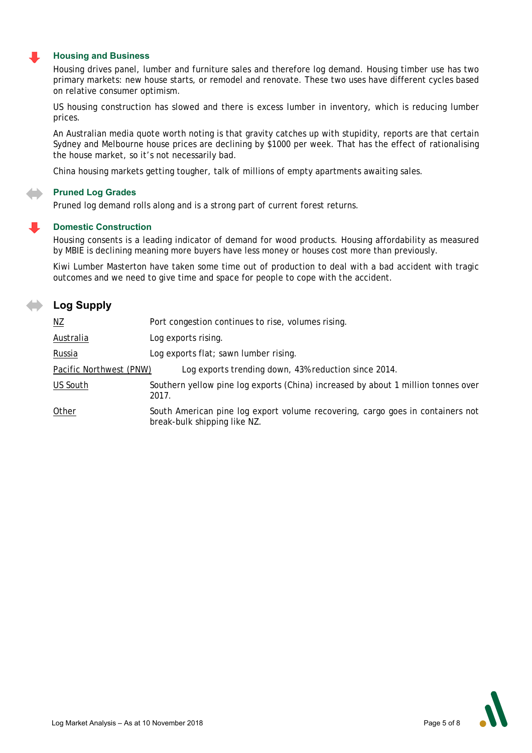#### **Housing and Business**

Housing drives panel, lumber and furniture sales and therefore log demand. Housing timber use has two primary markets: new house starts, or remodel and renovate. These two uses have different cycles based on relative consumer optimism.

US housing construction has slowed and there is excess lumber in inventory, which is reducing lumber prices.

An Australian media quote worth noting is that gravity catches up with stupidity, reports are that certain Sydney and Melbourne house prices are declining by \$1000 per week. That has the effect of rationalising the house market, so it's not necessarily bad.

China housing markets getting tougher, talk of millions of empty apartments awaiting sales.

#### **Pruned Log Grades**

Pruned log demand rolls along and is a strong part of current forest returns.

#### **Domestic Construction**

Housing consents is a leading indicator of demand for wood products. Housing affordability as measured by MBIE is declining meaning more buyers have less money or houses cost more than previously.

Kiwi Lumber Masterton have taken some time out of production to deal with a bad accident with tragic outcomes and we need to give time and space for people to cope with the accident.

### **Log Supply**

| $\underline{\mathsf{NZ}}$ | Port congestion continues to rise, volumes rising.                                                             |  |  |
|---------------------------|----------------------------------------------------------------------------------------------------------------|--|--|
| Australia                 | Log exports rising.                                                                                            |  |  |
| Russia                    | Log exports flat; sawn lumber rising.                                                                          |  |  |
| Pacific Northwest (PNW)   | Log exports trending down, 43% reduction since 2014.                                                           |  |  |
| US South                  | Southern yellow pine log exports (China) increased by about 1 million tonnes over<br>2017.                     |  |  |
| Other                     | South American pine log export volume recovering, cargo goes in containers not<br>break-bulk shipping like NZ. |  |  |

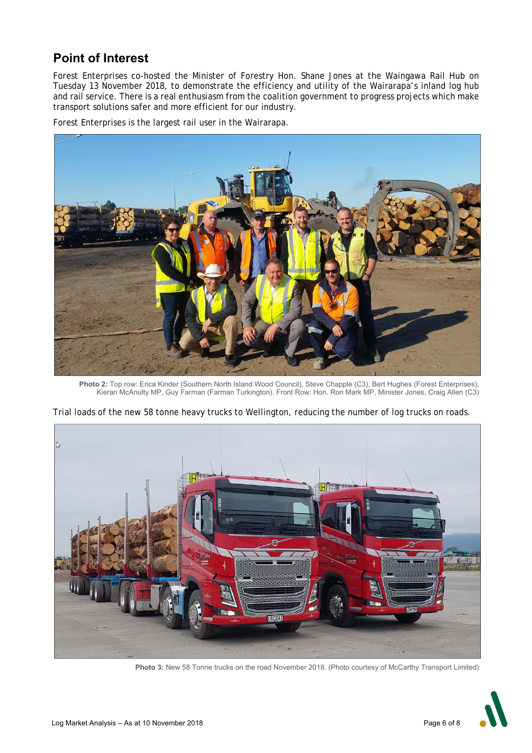### **Point of Interest**

Forest Enterprises co-hosted the Minister of Forestry Hon. Shane Jones at the Waingawa Rail Hub on Tuesday 13 November 2018, to demonstrate the efficiency and utility of the Wairarapa's inland log hub and rail service. There is a real enthusiasm from the coalition government to progress projects which make transport solutions safer and more efficient for our industry.

Forest Enterprises is the largest rail user in the Wairarapa.



**Photo 2:** Top row: Erica Kinder (Southern North Island Wood Council), Steve Chapple (C3), Bert Hughes (Forest Enterprises), Kieran McAnulty MP, Guy Farman (Farman Turkington). Front Row: Hon. Ron Mark MP, Minister Jones, Craig Allen (C3)



Trial loads of the new 58 tonne heavy trucks to Wellington, reducing the number of log trucks on roads.

**Photo 3:** New 58 Tonne trucks on the road November 2018. (Photo courtesy of McCarthy Transport Limited)

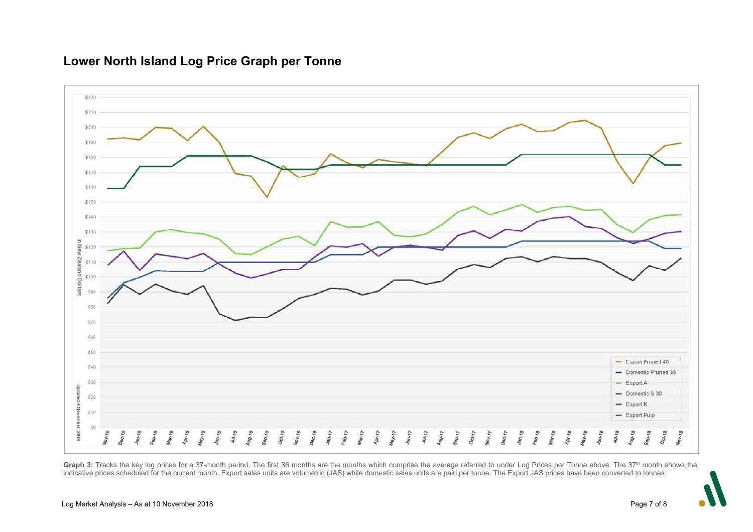#### \$220 \$210 \$200 \$190 \$180 \$170 \$160 \$150 \$140 \$130 In New  $$120$ Zealand Dollars \$110 \$100 \$90 \$80 \$70 \$60 \$50 - Export Pruned 40 san - Domestic Pruned 35 \$30 Export A w. Updated 8 November 2018  $-$  Domestic S 30 \$20  $-$  Export K  $$10$  $-$  Export Pulp  $$0$ **Nov.15**  $A_{Df^*77}$  $4447$ Dec-15  $F_{\theta b, \gamma\gamma}$  $M_{3y, 17}$  $4u<sub>R</sub>$ August  $S_{\Phi_{D-7}}$  $O_{C5} + 77$  $N_{\text{O1c},\uparrow\uparrow\uparrow}$  $DoG<sub>17</sub>$  $Ja_{0}$ -18 **Aug-18**  $g_{\rm g}$   $_{1\rm g}$ Oct.18 **Apr-18** May-18  $Juf.78$ Oct-16 Va<sub>k16</sub>  $Da<sub>c-10</sub>$  $480.17$ Feb.18  $u_{n, \eta_B}$  $a_{0.16}$ Mar-18 **Pr-16**  $44.16$  $t_{4n-16}$  $J_{U1}$ -18  $\frac{1}{2}$  $90 - 16$  $M_{37}$ **Mar.18**

### **Lower North Island Log Price Graph per Tonne**

Graph 3: Tracks the key log prices for a 37-month period. The first 36 months are the months which comprise the average referred to under Log Prices per Tonne above. The 37<sup>th</sup> month shows the indicative prices scheduled for the current month. Export sales units are volumetric (JAS) while domestic sales units are paid per tonne. The Export JAS prices have been converted to tonnes.

Nov.<sub>18</sub>